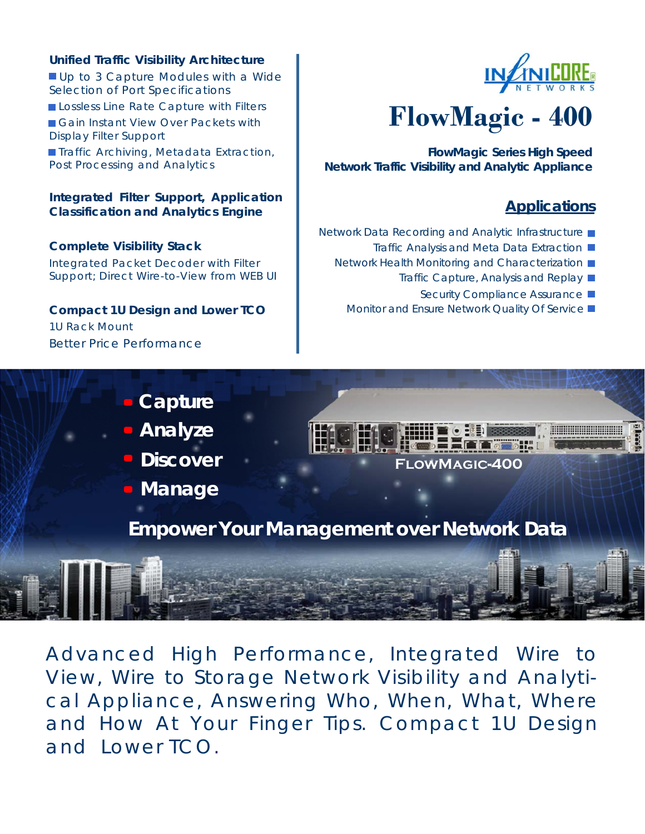#### **Unified Traffic Visibility Architecture**

Up to 3 Capture Modules with a Wide Selection of Port Specifications Lossless Line Rate Capture with Filters Gain Instant View Over Packets with Display Filter Support **Traffic Archiving, Metadata Extraction,** Post Processing and Analytics

#### **Integrated Filter Support, Application Classification and Analytics Engine**

**Complete Visibility Stack** 

Integrated Packet Decoder with Filter Support; Direct Wire-to-View from WEB UI

## **Compact 1U Design and Lower TCO**

1U Rack Mount Better Price Performance



# **FlowMagic - 400**

**FlowMagic Series High Speed Network Traffic Visibility and Analytic Appliance** 

## **Applications**

- Network Data Recording and Analytic Infrastructure
	- Traffic Analysis and Meta Data Extraction ■
	- Network Health Monitoring and Characterization
		- Traffic Capture, Analysis and Replay
			- Security Compliance Assurance ■
		- Monitor and Ensure Network Quality Of Service ■



Advanced High Performance, Integrated Wire to View, Wire to Storage Network Visibility and Analytical Appliance, Answering Who, When, What, Where and How At Your Finger Tips. Compact 1U Design and Lower TCO.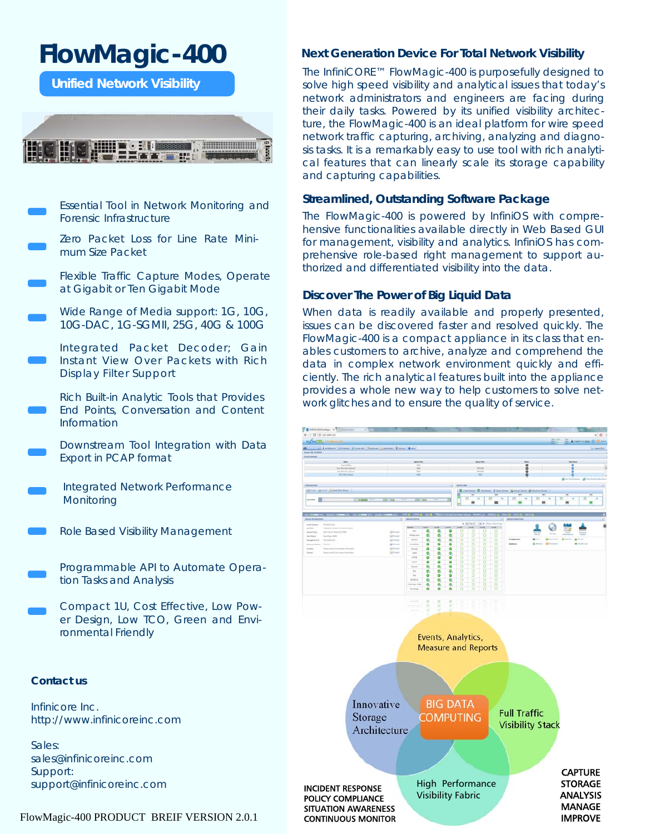## **FlowMagic-400**

**Unified Network Visibility** 



Essential Tool in Network Monitoring and Forensic Infrastructure

Zero Packet Loss for Line Rate Minimum Size Packet

Flexible Traffic Capture Modes, Operate at Gigabit or Ten Gigabit Mode

Wide Range of Media support: 1G, 10G, 10G-DAC, 1G-SGMII, 25G, 40G & 100G

Integrated Packet Decoder; Gain Instant View Over Packets with Rich Display Filter Support

Rich Built-in Analytic Tools that Provides End Points, Conversation and Content Information

Downstream Tool Integration with Data Export in PCAP format

Integrated Network Performance **Monitoring** 

Role Based Visibility Management

Programmable API to Automate Operation Tasks and Analysis

Compact 1U, Cost Effective, Low Power Design, Low TCO, Green and Environmental Friendly

#### **Contact us**

Infinicore Inc. http://www.infinicoreinc.com

Sales: sales@infinicoreinc.com Support: support@infinicoreinc.com

#### FlowMagic-400 PRODUCT BREIF VERSION 2.0.1

#### **Next Generation Device For Total Network Visibility**

The InfiniCORE™ FlowMagic-400 is purposefully designed to solve high speed visibility and analytical issues that today's network administrators and engineers are facing during their daily tasks. Powered by its unified visibility architecture, the FlowMagic-400 is an ideal platform for wire speed network traffic capturing, archiving, analyzing and diagnosis tasks. It is a remarkably easy to use tool with rich analytical features that can linearly scale its storage capability and capturing capabilities.

#### **Streamlined, Outstanding Software Package**

The FlowMagic-400 is powered by InfiniOS with comprehensive functionalities available directly in Web Based GUI for management, visibility and analytics. InfiniOS has comprehensive role-based right management to support authorized and differentiated visibility into the data.

#### **Discover The Power of Big Liquid Data**

When data is readily available and properly presented, issues can be discovered faster and resolved quickly. The FlowMagic-400 is a compact appliance in its class that enables customers to archive, analyze and comprehend the data in complex network environment quickly and efficiently. The rich analytical features built into the appliance provides a whole new way to help customers to solve network glitches and to ensure the quality of service.

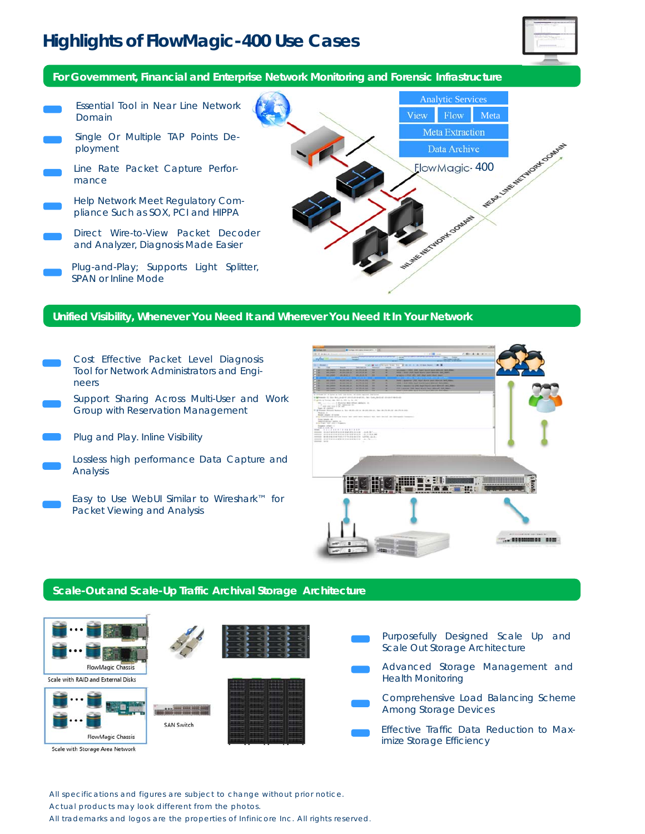## **Highlights of FlowMagic-400 Use Cases**



**For Government, Financial and Enterprise Network Monitoring and Forensic Infrastructure** 

Analytic Services Essential Tool in Near Line Network View Flow Meta Domain Meta Extraction Single Or Multiple TAP Points De-Was Canada Manufacture Contract ployment Data Archive FlowMagic-400 Line Rate Packet Capture Performance Help Network Meet Regulatory Com-WORKLOOMING pliance Such as SOX, PCI and HIPPA Direct Wire-to-View Packet Decoder and Analyzer, Diagnosis Made Easier Plug-and-Play; Supports Light Splitter, SPAN or Inline Mode

#### **Unified Visibility, Whenever You Need It and Wherever You Need It In Your Network**

- Cost Effective Packet Level Diagnosis Tool for Network Administrators and Engineers
- Support Sharing Across Multi-User and Work Group with Reservation Management

Plug and Play. Inline Visibility

- Lossless high performance Data Capture and Analysis
- Easy to Use WebUI Similar to Wireshark™ for Packet Viewing and Analysis



#### **Scale-Out and Scale-Up Traffic Archival Storage Architecture**



All specifications and figures are subject to change without prior notice.

Actual products may look different from the photos.

All trademarks and logos are the properties of Infinicore Inc. All rights reserved.